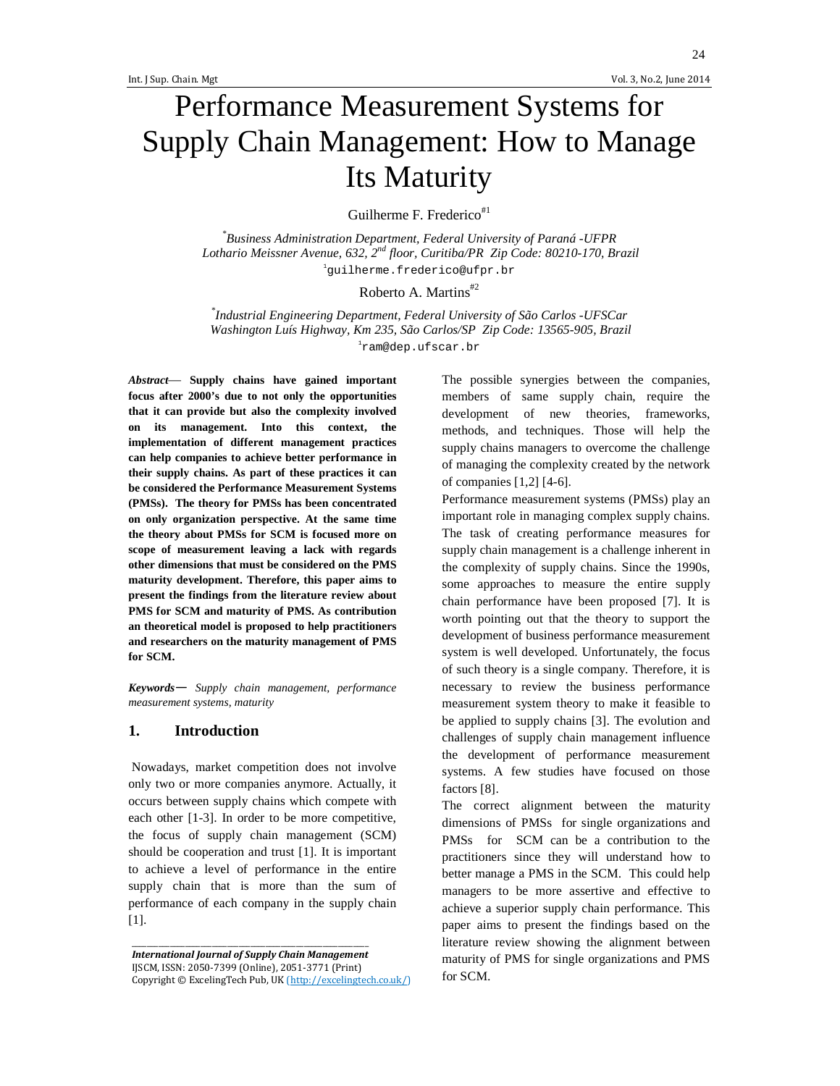24

# Performance Measurement Systems for Supply Chain Management: How to Manage Its Maturity

Guilherme F. Frederico<sup>#1</sup>

*\* Business Administration Department, Federal University of Paraná -UFPR Lothario Meissner Avenue, 632, 2nd floor, Curitiba/PR Zip Code: 80210-170, Brazil*  1 guilherme.frederico@ufpr.br

# Roberto A. Martins#2

*\* Industrial Engineering Department, Federal University of São Carlos -UFSCar Washington Luís Highway, Km 235, São Carlos/SP Zip Code: 13565-905, Brazil*  1 ram@dep.ufscar.br

*Abstract*— **Supply chains have gained important focus after 2000's due to not only the opportunities that it can provide but also the complexity involved on its management. Into this context, the implementation of different management practices can help companies to achieve better performance in their supply chains. As part of these practices it can be considered the Performance Measurement Systems (PMSs). The theory for PMSs has been concentrated on only organization perspective. At the same time the theory about PMSs for SCM is focused more on scope of measurement leaving a lack with regards other dimensions that must be considered on the PMS maturity development. Therefore, this paper aims to present the findings from the literature review about PMS for SCM and maturity of PMS. As contribution an theoretical model is proposed to help practitioners and researchers on the maturity management of PMS for SCM.** 

*Keywords*— *Supply chain management, performance measurement systems, maturity* 

#### **1. Introduction**

 Nowadays, market competition does not involve only two or more companies anymore. Actually, it occurs between supply chains which compete with each other [1-3]. In order to be more competitive, the focus of supply chain management (SCM) should be cooperation and trust [1]. It is important to achieve a level of performance in the entire supply chain that is more than the sum of performance of each company in the supply chain [1].

*International Journal of Supply Chain Management*  IJSCM, ISSN: 2050-7399 (Online), 2051-3771 (Print) Copyright © ExcelingTech Pub, UK (http://excelingtech.co.uk/)

\_\_\_\_\_\_\_\_\_\_\_\_\_\_\_\_\_\_\_\_\_\_\_\_\_\_\_\_\_\_\_\_\_\_\_\_\_\_\_\_\_\_\_\_\_\_\_\_\_\_\_\_\_\_\_\_\_\_\_\_\_\_

The possible synergies between the companies, members of same supply chain, require the development of new theories, frameworks, methods, and techniques. Those will help the supply chains managers to overcome the challenge of managing the complexity created by the network of companies [1,2] [4-6].

Performance measurement systems (PMSs) play an important role in managing complex supply chains. The task of creating performance measures for supply chain management is a challenge inherent in the complexity of supply chains. Since the 1990s, some approaches to measure the entire supply chain performance have been proposed [7]. It is worth pointing out that the theory to support the development of business performance measurement system is well developed. Unfortunately, the focus of such theory is a single company. Therefore, it is necessary to review the business performance measurement system theory to make it feasible to be applied to supply chains [3]. The evolution and challenges of supply chain management influence the development of performance measurement systems. A few studies have focused on those factors [8].

The correct alignment between the maturity dimensions of PMSs for single organizations and PMSs for SCM can be a contribution to the practitioners since they will understand how to better manage a PMS in the SCM. This could help managers to be more assertive and effective to achieve a superior supply chain performance. This paper aims to present the findings based on the literature review showing the alignment between maturity of PMS for single organizations and PMS for SCM.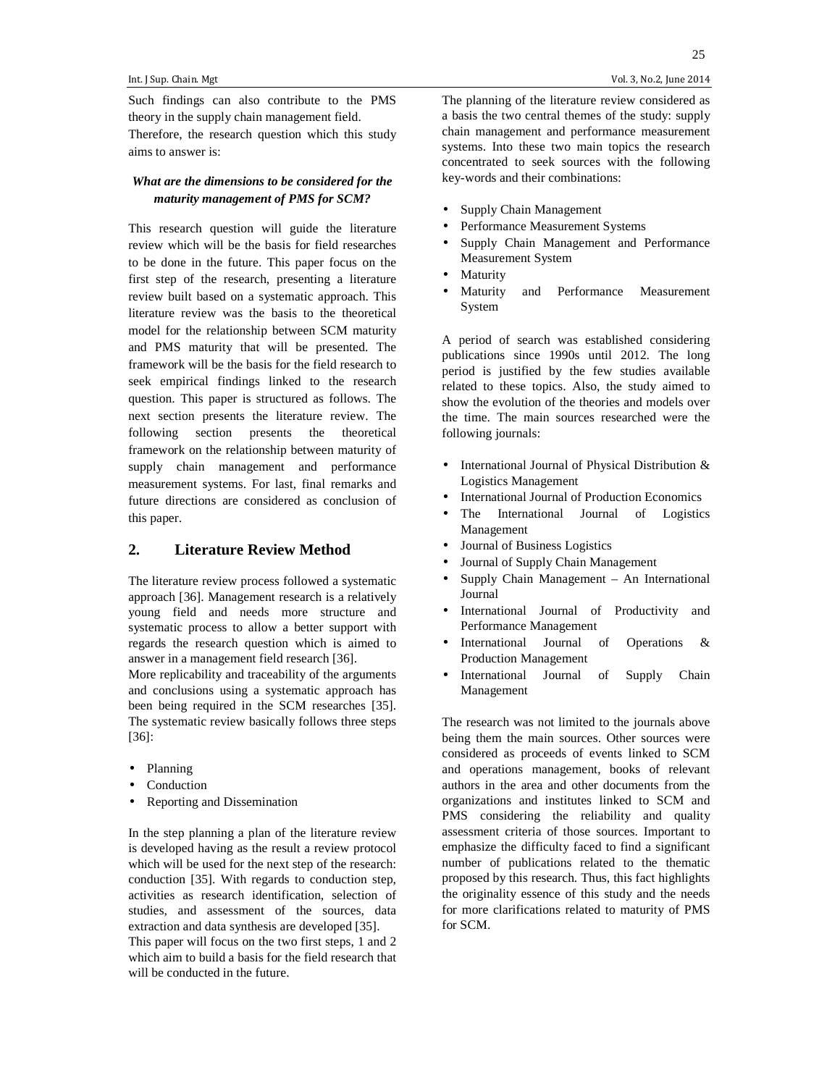Such findings can also contribute to the PMS theory in the supply chain management field. Therefore, the research question which this study aims to answer is:

#### *What are the dimensions to be considered for the maturity management of PMS for SCM?*

This research question will guide the literature review which will be the basis for field researches to be done in the future. This paper focus on the first step of the research, presenting a literature review built based on a systematic approach. This literature review was the basis to the theoretical model for the relationship between SCM maturity and PMS maturity that will be presented. The framework will be the basis for the field research to seek empirical findings linked to the research question. This paper is structured as follows. The next section presents the literature review. The following section presents the theoretical framework on the relationship between maturity of supply chain management and performance measurement systems. For last, final remarks and future directions are considered as conclusion of this paper.

### **2. Literature Review Method**

The literature review process followed a systematic approach [36]. Management research is a relatively young field and needs more structure and systematic process to allow a better support with regards the research question which is aimed to answer in a management field research [36].

More replicability and traceability of the arguments and conclusions using a systematic approach has been being required in the SCM researches [35]. The systematic review basically follows three steps [36]:

- Planning
- **Conduction**
- Reporting and Dissemination

In the step planning a plan of the literature review is developed having as the result a review protocol which will be used for the next step of the research: conduction [35]. With regards to conduction step, activities as research identification, selection of studies, and assessment of the sources, data extraction and data synthesis are developed [35]. This paper will focus on the two first steps, 1 and 2 which aim to build a basis for the field research that will be conducted in the future.

The planning of the literature review considered as a basis the two central themes of the study: supply chain management and performance measurement systems. Into these two main topics the research concentrated to seek sources with the following key-words and their combinations:

- Supply Chain Management
- Performance Measurement Systems
- Supply Chain Management and Performance Measurement System
- **Maturity**
- Maturity and Performance Measurement System

A period of search was established considering publications since 1990s until 2012. The long period is justified by the few studies available related to these topics. Also, the study aimed to show the evolution of the theories and models over the time. The main sources researched were the following journals:

- International Journal of Physical Distribution & Logistics Management
- International Journal of Production Economics
- The International Journal of Logistics Management
- Journal of Business Logistics
- Journal of Supply Chain Management
- Supply Chain Management An International Journal
- International Journal of Productivity and Performance Management
- International Journal of Operations & Production Management
- International Journal of Supply Chain Management

The research was not limited to the journals above being them the main sources. Other sources were considered as proceeds of events linked to SCM and operations management, books of relevant authors in the area and other documents from the organizations and institutes linked to SCM and PMS considering the reliability and quality assessment criteria of those sources. Important to emphasize the difficulty faced to find a significant number of publications related to the thematic proposed by this research. Thus, this fact highlights the originality essence of this study and the needs for more clarifications related to maturity of PMS for SCM.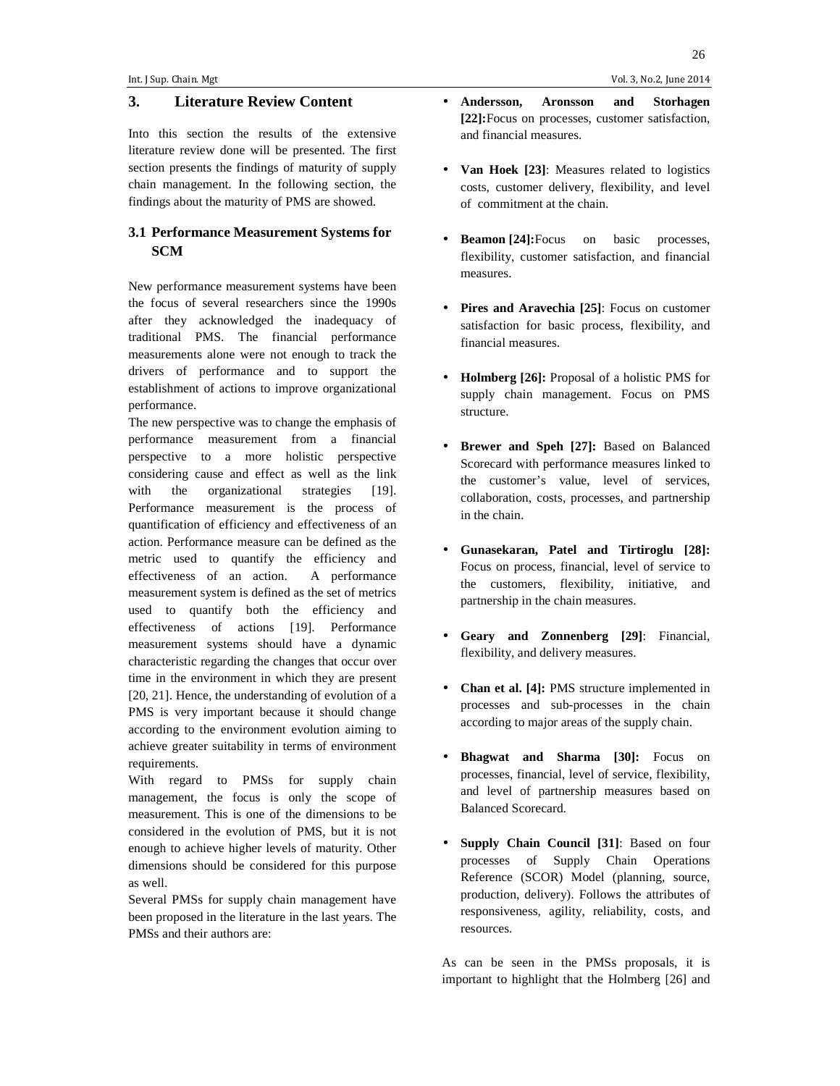#### **3. Literature Review Content**

Into this section the results of the extensive literature review done will be presented. The first section presents the findings of maturity of supply chain management. In the following section, the findings about the maturity of PMS are showed.

### **3.1 Performance Measurement Systems for SCM**

New performance measurement systems have been the focus of several researchers since the 1990s after they acknowledged the inadequacy of traditional PMS. The financial performance measurements alone were not enough to track the drivers of performance and to support the establishment of actions to improve organizational performance.

The new perspective was to change the emphasis of performance measurement from a financial perspective to a more holistic perspective considering cause and effect as well as the link with the organizational strategies [19]. Performance measurement is the process of quantification of efficiency and effectiveness of an action. Performance measure can be defined as the metric used to quantify the efficiency and effectiveness of an action. A performance measurement system is defined as the set of metrics used to quantify both the efficiency and effectiveness of actions [19]. Performance measurement systems should have a dynamic characteristic regarding the changes that occur over time in the environment in which they are present [20, 21]. Hence, the understanding of evolution of a PMS is very important because it should change according to the environment evolution aiming to achieve greater suitability in terms of environment requirements.

With regard to PMSs for supply chain management, the focus is only the scope of measurement. This is one of the dimensions to be considered in the evolution of PMS, but it is not enough to achieve higher levels of maturity. Other dimensions should be considered for this purpose as well.

Several PMSs for supply chain management have been proposed in the literature in the last years. The PMSs and their authors are:

- **Andersson, Aronsson and Storhagen [22]:**Focus on processes, customer satisfaction, and financial measures.
- **Van Hoek [23]**: Measures related to logistics costs, customer delivery, flexibility, and level of commitment at the chain.
- **Beamon** [24]: Focus on basic processes, flexibility, customer satisfaction, and financial measures.
- **Pires and Aravechia [25]**: Focus on customer satisfaction for basic process, flexibility, and financial measures.
- **Holmberg [26]:** Proposal of a holistic PMS for supply chain management. Focus on PMS structure.
- **Brewer and Speh [27]:** Based on Balanced Scorecard with performance measures linked to the customer's value, level of services, collaboration, costs, processes, and partnership in the chain.
- **Gunasekaran, Patel and Tirtiroglu [28]:** Focus on process, financial, level of service to the customers, flexibility, initiative, and partnership in the chain measures.
- **Geary and Zonnenberg [29]**: Financial, flexibility, and delivery measures.
- **Chan et al. [4]:** PMS structure implemented in processes and sub-processes in the chain according to major areas of the supply chain.
- **Bhagwat and Sharma [30]:** Focus on processes, financial, level of service, flexibility, and level of partnership measures based on Balanced Scorecard.
- **Supply Chain Council [31]**: Based on four processes of Supply Chain Operations Reference (SCOR) Model (planning, source, production, delivery). Follows the attributes of responsiveness, agility, reliability, costs, and resources.

As can be seen in the PMSs proposals, it is important to highlight that the Holmberg [26] and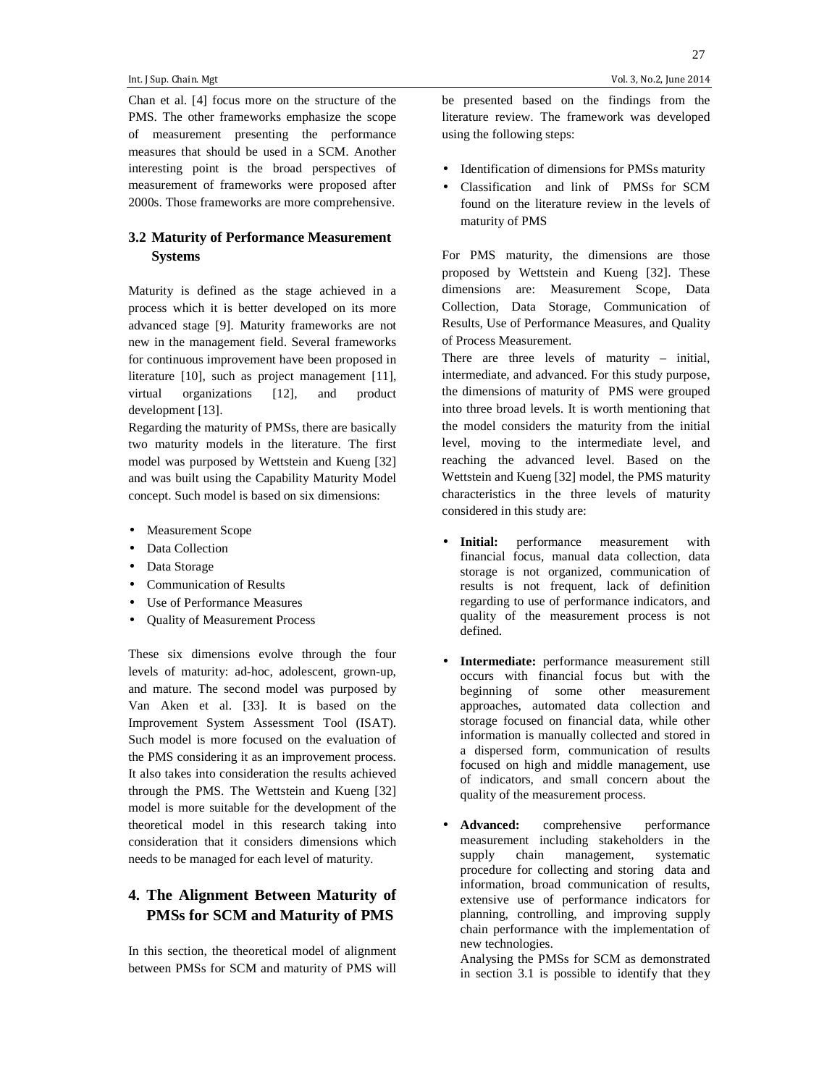Chan et al. [4] focus more on the structure of the PMS. The other frameworks emphasize the scope of measurement presenting the performance measures that should be used in a SCM. Another interesting point is the broad perspectives of measurement of frameworks were proposed after 2000s. Those frameworks are more comprehensive.

#### **3.2 Maturity of Performance Measurement Systems**

Maturity is defined as the stage achieved in a process which it is better developed on its more advanced stage [9]. Maturity frameworks are not new in the management field. Several frameworks for continuous improvement have been proposed in literature [10], such as project management [11], virtual organizations [12], and product development [13].

Regarding the maturity of PMSs, there are basically two maturity models in the literature. The first model was purposed by Wettstein and Kueng [32] and was built using the Capability Maturity Model concept. Such model is based on six dimensions:

- Measurement Scope
- Data Collection
- Data Storage
- Communication of Results
- Use of Performance Measures
- Quality of Measurement Process

These six dimensions evolve through the four levels of maturity: ad-hoc, adolescent, grown-up, and mature. The second model was purposed by Van Aken et al. [33]. It is based on the Improvement System Assessment Tool (ISAT). Such model is more focused on the evaluation of the PMS considering it as an improvement process. It also takes into consideration the results achieved through the PMS. The Wettstein and Kueng [32] model is more suitable for the development of the theoretical model in this research taking into consideration that it considers dimensions which needs to be managed for each level of maturity.

## **4. The Alignment Between Maturity of PMSs for SCM and Maturity of PMS**

In this section, the theoretical model of alignment between PMSs for SCM and maturity of PMS will

be presented based on the findings from the literature review. The framework was developed using the following steps:

- Identification of dimensions for PMSs maturity
- Classification and link of PMSs for SCM found on the literature review in the levels of maturity of PMS

For PMS maturity, the dimensions are those proposed by Wettstein and Kueng [32]. These dimensions are: Measurement Scope, Data Collection, Data Storage, Communication of Results, Use of Performance Measures, and Quality of Process Measurement.

There are three levels of maturity – initial, intermediate, and advanced. For this study purpose, the dimensions of maturity of PMS were grouped into three broad levels. It is worth mentioning that the model considers the maturity from the initial level, moving to the intermediate level, and reaching the advanced level. Based on the Wettstein and Kueng [32] model, the PMS maturity characteristics in the three levels of maturity considered in this study are:

- **Initial:** performance measurement with financial focus, manual data collection, data storage is not organized, communication of results is not frequent, lack of definition regarding to use of performance indicators, and quality of the measurement process is not defined.
- **Intermediate:** performance measurement still occurs with financial focus but with the beginning of some other measurement approaches, automated data collection and storage focused on financial data, while other information is manually collected and stored in a dispersed form, communication of results focused on high and middle management, use of indicators, and small concern about the quality of the measurement process.
- **Advanced:** comprehensive performance measurement including stakeholders in the supply chain management, systematic procedure for collecting and storing data and information, broad communication of results, extensive use of performance indicators for planning, controlling, and improving supply chain performance with the implementation of new technologies.

 Analysing the PMSs for SCM as demonstrated in section 3.1 is possible to identify that they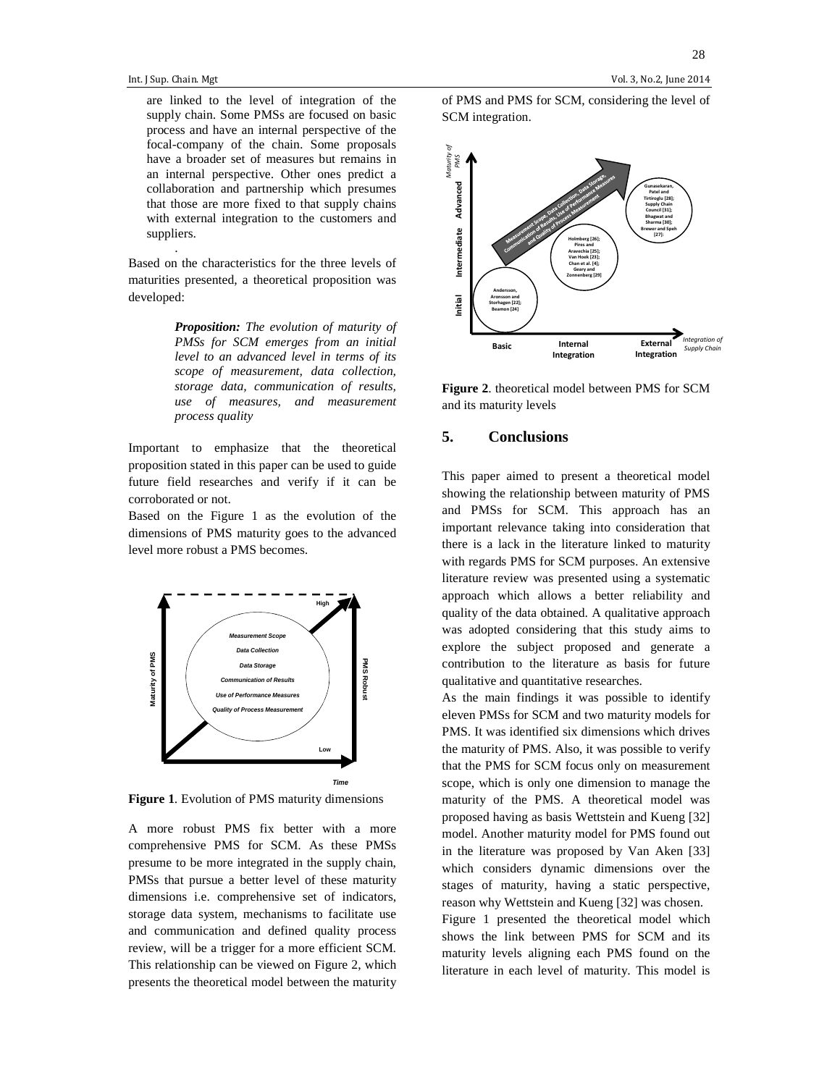.

are linked to the level of integration of the supply chain. Some PMSs are focused on basic process and have an internal perspective of the focal-company of the chain. Some proposals have a broader set of measures but remains in an internal perspective. Other ones predict a collaboration and partnership which presumes that those are more fixed to that supply chains with external integration to the customers and suppliers.

Based on the characteristics for the three levels of maturities presented, a theoretical proposition was developed:

> *Proposition: The evolution of maturity of PMSs for SCM emerges from an initial level to an advanced level in terms of its scope of measurement, data collection, storage data, communication of results, use of measures, and measurement process quality*

Important to emphasize that the theoretical proposition stated in this paper can be used to guide future field researches and verify if it can be corroborated or not.

Based on the Figure 1 as the evolution of the dimensions of PMS maturity goes to the advanced level more robust a PMS becomes.



**Figure 1**. Evolution of PMS maturity dimensions

A more robust PMS fix better with a more comprehensive PMS for SCM. As these PMSs presume to be more integrated in the supply chain, PMSs that pursue a better level of these maturity dimensions i.e. comprehensive set of indicators, storage data system, mechanisms to facilitate use and communication and defined quality process review, will be a trigger for a more efficient SCM. This relationship can be viewed on Figure 2, which presents the theoretical model between the maturity of PMS and PMS for SCM, considering the level of SCM integration.



**Figure 2**. theoretical model between PMS for SCM and its maturity levels

## **5. Conclusions**

This paper aimed to present a theoretical model showing the relationship between maturity of PMS and PMSs for SCM. This approach has an important relevance taking into consideration that there is a lack in the literature linked to maturity with regards PMS for SCM purposes. An extensive literature review was presented using a systematic approach which allows a better reliability and quality of the data obtained. A qualitative approach was adopted considering that this study aims to explore the subject proposed and generate a contribution to the literature as basis for future qualitative and quantitative researches.

As the main findings it was possible to identify eleven PMSs for SCM and two maturity models for PMS. It was identified six dimensions which drives the maturity of PMS. Also, it was possible to verify that the PMS for SCM focus only on measurement scope, which is only one dimension to manage the maturity of the PMS. A theoretical model was proposed having as basis Wettstein and Kueng [32] model. Another maturity model for PMS found out in the literature was proposed by Van Aken [33] which considers dynamic dimensions over the stages of maturity, having a static perspective, reason why Wettstein and Kueng [32] was chosen. Figure 1 presented the theoretical model which shows the link between PMS for SCM and its maturity levels aligning each PMS found on the literature in each level of maturity. This model is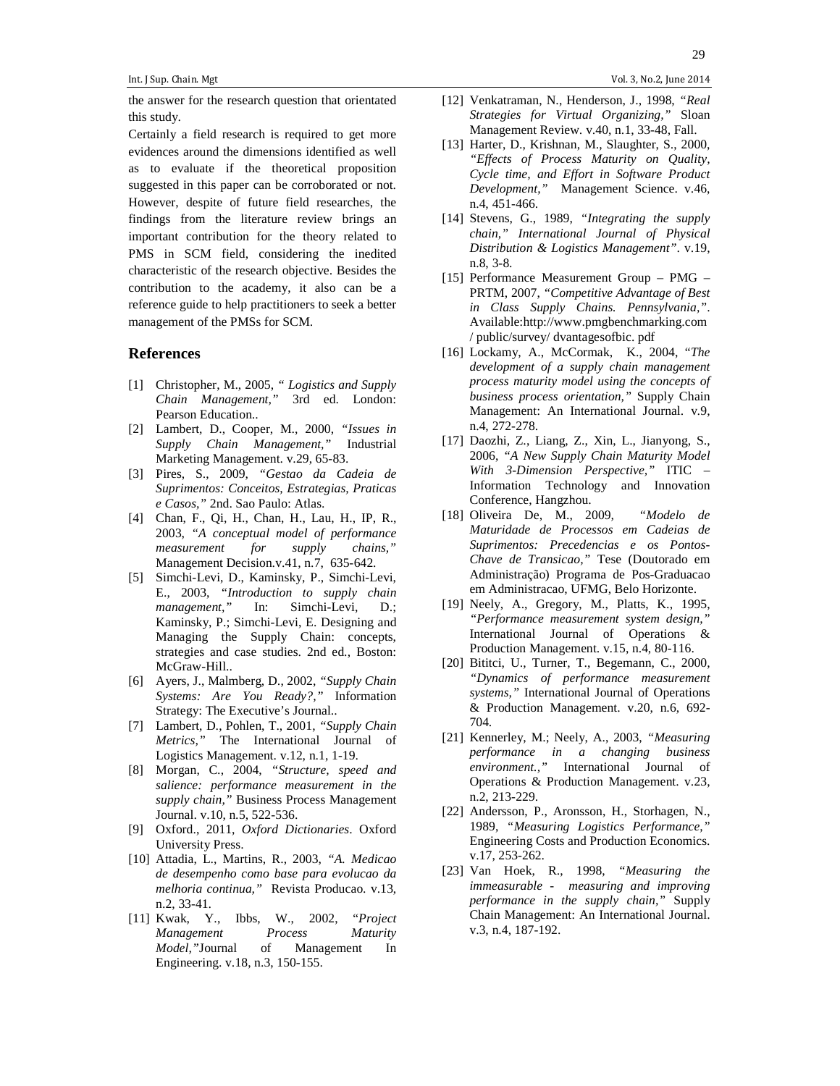the answer for the research question that orientated this study.

Certainly a field research is required to get more evidences around the dimensions identified as well as to evaluate if the theoretical proposition suggested in this paper can be corroborated or not. However, despite of future field researches, the findings from the literature review brings an important contribution for the theory related to PMS in SCM field, considering the inedited characteristic of the research objective. Besides the contribution to the academy, it also can be a reference guide to help practitioners to seek a better management of the PMSs for SCM.

#### **References**

- [1] Christopher, M., 2005, *" Logistics and Supply Chain Management,"* 3rd ed. London: Pearson Education..
- [2] Lambert, D., Cooper, M., 2000, *"Issues in Supply Chain Management,"* Industrial Marketing Management. v.29, 65-83.
- [3] Pires, S., 2009, *"Gestao da Cadeia de Suprimentos: Conceitos, Estrategias, Praticas e Casos,"* 2nd. Sao Paulo: Atlas.
- [4] Chan, F., Qi, H., Chan, H., Lau, H., IP, R., 2003, *"A conceptual model of performance measurement for supply chains,"* Management Decision.v.41, n.7, 635-642.
- [5] Simchi-Levi, D., Kaminsky, P., Simchi-Levi, E., 2003, *"Introduction to supply chain management,"* In: Simchi-Levi, D.; Kaminsky, P.; Simchi-Levi, E. Designing and Managing the Supply Chain: concepts, strategies and case studies. 2nd ed., Boston: McGraw-Hill..
- [6] Ayers, J., Malmberg, D., 2002, *"Supply Chain Systems: Are You Ready?,"* Information Strategy: The Executive's Journal..
- [7] Lambert, D., Pohlen, T., 2001, *"Supply Chain Metrics,"* The International Journal of Logistics Management. v.12, n.1, 1-19.
- [8] Morgan, C., 2004, *"Structure, speed and salience: performance measurement in the supply chain,"* Business Process Management Journal. v.10, n.5, 522-536.
- [9] Oxford., 2011, *Oxford Dictionaries*. Oxford University Press.
- [10] Attadia, L., Martins, R., 2003, *"A. Medicao de desempenho como base para evolucao da melhoria continua,"* Revista Producao. v.13, n.2, 33-41.
- [11] Kwak, Y., Ibbs, W., 2002, "*Project Management Process Maturity Model,"*Journal of Management In Engineering. v.18, n.3, 150-155.
- [12] Venkatraman, N., Henderson, J., 1998, *"Real Strategies for Virtual Organizing,"* Sloan Management Review. v.40, n.1, 33-48, Fall.
- [13] Harter, D., Krishnan, M., Slaughter, S., 2000, *"Effects of Process Maturity on Quality, Cycle time, and Effort in Software Product Development,"* Management Science. v.46, n.4, 451-466.
- [14] Stevens, G., 1989, *"Integrating the supply chain," International Journal of Physical Distribution & Logistics Management"*. v.19, n.8, 3-8.
- [15] Performance Measurement Group PMG PRTM, 2007, *"Competitive Advantage of Best in Class Supply Chains. Pennsylvania,"*. Available:http://www.pmgbenchmarking.com / public/survey/ dvantagesofbic. pdf
- [16] Lockamy, A., McCormak, K., 2004, "*The development of a supply chain management process maturity model using the concepts of business process orientation,"* Supply Chain Management: An International Journal. v.9, n.4, 272-278.
- [17] Daozhi, Z., Liang, Z., Xin, L., Jianyong, S., 2006, *"A New Supply Chain Maturity Model With 3-Dimension Perspective,"* ITIC – Information Technology and Innovation Conference, Hangzhou.
- [18] Oliveira De, M., 2009*, "Modelo de Maturidade de Processos em Cadeias de Suprimentos: Precedencias e os Pontos-Chave de Transicao,"* Tese (Doutorado em Administração) Programa de Pos-Graduacao em Administracao, UFMG, Belo Horizonte.
- [19] Neely, A., Gregory, M., Platts, K., 1995, *"Performance measurement system design,"* International Journal of Operations & Production Management. v.15, n.4, 80-116.
- [20] Bititci, U., Turner, T., Begemann, C., 2000, *"Dynamics of performance measurement systems,"* International Journal of Operations & Production Management. v.20, n.6, 692- 704.
- [21] Kennerley, M.; Neely, A., 2003, *"Measuring performance in a changing business environment.,"* International Journal of Operations & Production Management. v.23, n.2, 213-229.
- [22] Andersson, P., Aronsson, H., Storhagen, N., 1989, *"Measuring Logistics Performance,"* Engineering Costs and Production Economics. v.17, 253-262.
- [23] Van Hoek, R., 1998, *"Measuring the immeasurable - measuring and improving performance in the supply chain,"* Supply Chain Management: An International Journal. v.3, n.4, 187-192.